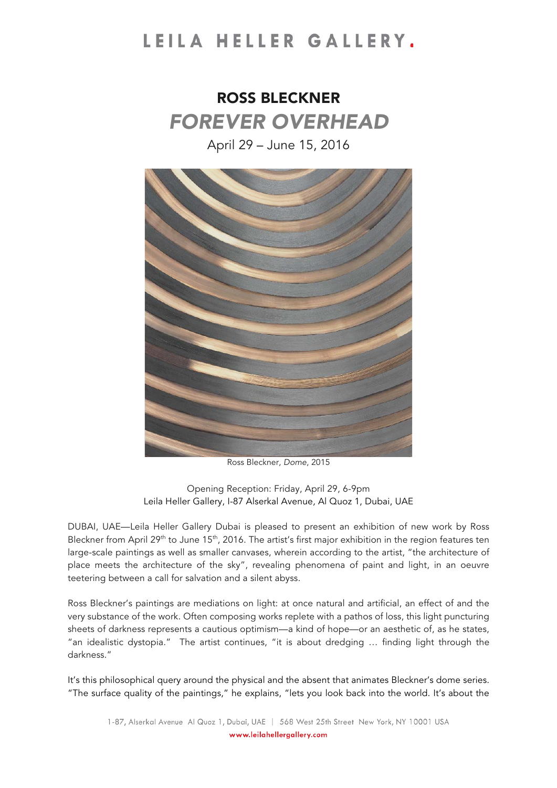### LEILA HELLER GALLERY.

## ROSS BLECKNER *FOREVER OVERHEAD*

April 29 – June 15, 2016



Ross Bleckner, *Dome*, 2015

Opening Reception: Friday, April 29, 6-9pm Leila Heller Gallery, I-87 Alserkal Avenue*,* Al Quoz 1, Dubai, UAE

DUBAI, UAE—Leila Heller Gallery Dubai is pleased to present an exhibition of new work by Ross Bleckner from April 29<sup>th</sup> to June 15<sup>th</sup>, 2016. The artist's first major exhibition in the region features ten large-scale paintings as well as smaller canvases, wherein according to the artist, "the architecture of place meets the architecture of the sky", revealing phenomena of paint and light, in an oeuvre teetering between a call for salvation and a silent abyss.

Ross Bleckner's paintings are mediations on light: at once natural and artificial, an effect of and the very substance of the work. Often composing works replete with a pathos of loss, this light puncturing sheets of darkness represents a cautious optimism—a kind of hope—or an aesthetic of, as he states, "an idealistic dystopia." The artist continues, "it is about dredging … finding light through the darkness."

It's this philosophical query around the physical and the absent that animates Bleckner's dome series. "The surface quality of the paintings," he explains, "lets you look back into the world. It's about the